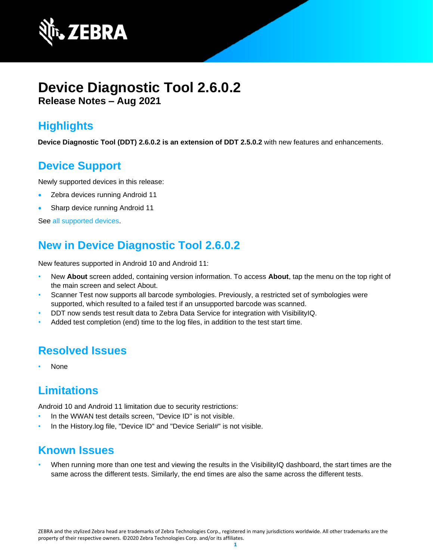

# **Device Diagnostic Tool 2.6.0.2 Release Notes – Aug 2021**

## **Highlights**

**Device Diagnostic Tool (DDT) 2.6.0.2 is an extension of DDT 2.5.0.2** with new features and enhancements.

## **Device Support**

Newly supported devices in this release:

- Zebra devices running Android 11
- Sharp device running Android 11

See [all supported devices.](https://www.zebra.com/us/en/support-downloads/software/utilities/device-diagnostic-tool.html)

# **New in Device Diagnostic Tool 2.6.0.2**

New features supported in Android 10 and Android 11:

- New **About** screen added, containing version information. To access **About**, tap the menu on the top right of the main screen and select About.
- [Scanner Test](https://techdocs.zebra.com/ddt/2-6/guide/usage/#scannertest) now supports all barcode symbologies. Previously, a restricted set of symbologies were supported, which resulted to a failed test if an unsupported barcode was scanned.
- DDT now sends test result data to [Zebra Data Service](https://techdocs.zebra.com/zds) for integration with [VisibilityIQ.](https://www.zebra.com/us/en/services/visibilityiq.html)
- Added test completion (end) time to the log files, in addition to the test start time.

## **Resolved Issues**

• None

# **Limitations**

Android 10 and Android 11 limitation due to security restrictions:

- In the WWAN test details screen, "Device ID" is not visible.
- In the History.log file, "Device ID" and "Device Serial#" is not visible.

### **Known Issues**

• When running more than one test and viewing the results in the [VisibilityIQ](https://www.zebra.com/us/en/services/visibilityiq.html) dashboard, the start times are the same across the different tests. Similarly, the end times are also the same across the different tests.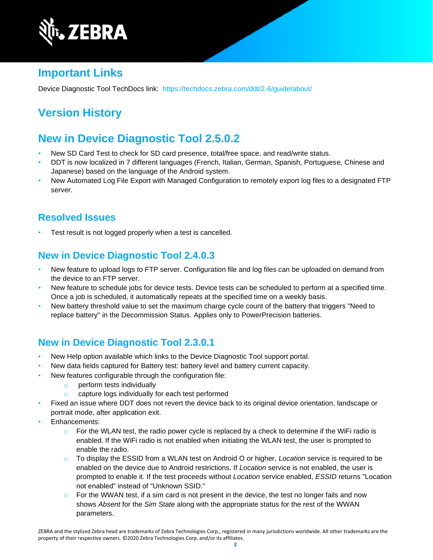

## **Important Links**

Device Diagnostic Tool TechDocs link: <https://techdocs.zebra.com/ddt/2-6/guide/about/>

# **Version History**

## **New in Device Diagnostic Tool 2.5.0.2**

- New [SD Card Test](http://zebra-stage.github.io/ddt/2-5/guide/usage/#devicetests) to check for SD card presence, total/free space, and read/write status.
- DDT is now localized in 7 different languages (French, Italian, German, Spanish, Portuguese, Chinese and Japanese) based on the language of the Android system.
- New Automated Log File Export with [Managed Configuration](http://zebra-stage.github.io/ddt/2-5/guide/managed-config) to remotely export log files to a designated FTP server.

### **Resolved Issues**

Test result is not logged properly when a test is cancelled.

### **New in Device Diagnostic Tool 2.4.0.3**

- New feature to upload logs to FTP server. Configuration file and log files can be uploaded on demand from the device to an FTP server.
- New feature to schedule jobs for device tests. Device tests can be scheduled to perform at a specified time. Once a job is scheduled, it automatically repeats at the specified time on a weekly basis.
- New battery threshold value to set the maximum charge cycle count of the battery that triggers "Need to replace battery" in the Decommission Status. Applies only to PowerPrecision batteries.

### **New in Device Diagnostic Tool 2.3.0.1**

- New [Help](https://techdocs.zebra.com/ddt/2-3/guide/usage/#userinterface) option available which links to the Device Diagnostic Tool support portal.
- New data fields captured for [Battery test:](https://techdocs.zebra.com/ddt/2-3/guide/usage/#batterytest) battery level and battery current capacity.
- New features configurable through the configuration file:
	- o [perform tests individually](https://techdocs.zebra.com/ddt/2-3/guide/configuration/#configurationfile)
	- o [capture logs individually](https://techdocs.zebra.com/ddt/2-3/guide/configuration/#configurationfile) for each test performed
- Fixed an issue where DDT does not revert the device back to its original device orientation, landscape or portrait mode, after application exit.
- [Enhancements:](https://techdocs.zebra.com/ddt/2-3/guide/usage/#userinterface)
	- $\circ$  For the WLAN test, the radio power cycle is replaced by a check to determine if the WiFi radio is enabled. If the WiFi radio is not enabled when initiating the WLAN test, the user is prompted to enable the radio.
	- o To display the ESSID from a WLAN test on Android O or higher, *Location* service is required to be enabled on the device due to Android restrictions. If *Location* service is not enabled, the user is prompted to enable it. If the test proceeds without *Location* service enabled, *ESSID* returns "Location not enabled" instead of "Unknown SSID."
	- $\circ$  For the WWAN test, if a sim card is not present in the device, the test no longer fails and now shows *Absent* for the *Sim State* along with the appropriate status for the rest of the WWAN parameters.